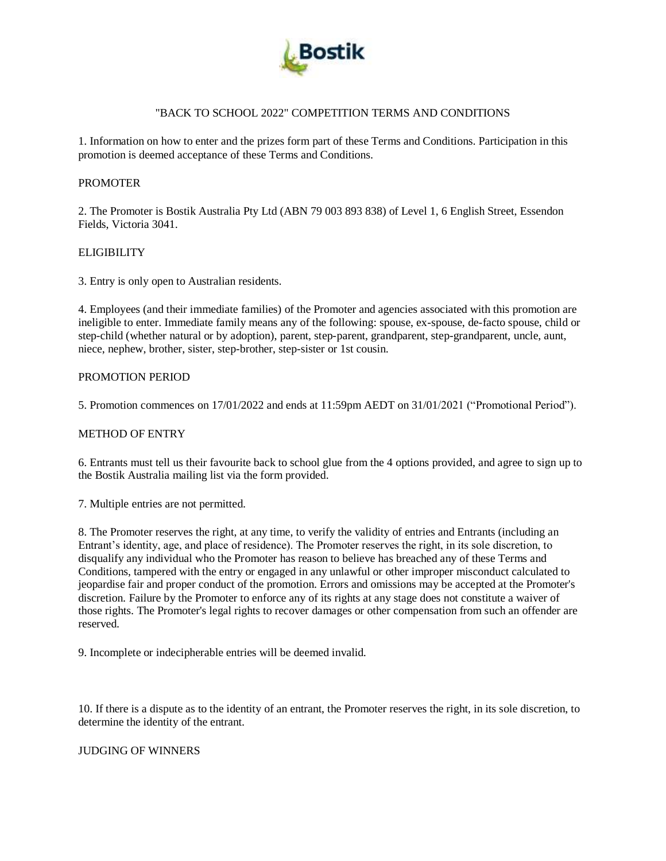

### "BACK TO SCHOOL 2022" COMPETITION TERMS AND CONDITIONS

1. Information on how to enter and the prizes form part of these Terms and Conditions. Participation in this promotion is deemed acceptance of these Terms and Conditions.

### PROMOTER

2. The Promoter is Bostik Australia Pty Ltd (ABN 79 003 893 838) of Level 1, 6 English Street, Essendon Fields, Victoria 3041.

### **ELIGIBILITY**

3. Entry is only open to Australian residents.

4. Employees (and their immediate families) of the Promoter and agencies associated with this promotion are ineligible to enter. Immediate family means any of the following: spouse, ex-spouse, de-facto spouse, child or step-child (whether natural or by adoption), parent, step-parent, grandparent, step-grandparent, uncle, aunt, niece, nephew, brother, sister, step-brother, step-sister or 1st cousin.

### PROMOTION PERIOD

5. Promotion commences on 17/01/2022 and ends at 11:59pm AEDT on 31/01/2021 ("Promotional Period").

### METHOD OF ENTRY

6. Entrants must tell us their favourite back to school glue from the 4 options provided, and agree to sign up to the Bostik Australia mailing list via the form provided.

7. Multiple entries are not permitted.

8. The Promoter reserves the right, at any time, to verify the validity of entries and Entrants (including an Entrant's identity, age, and place of residence). The Promoter reserves the right, in its sole discretion, to disqualify any individual who the Promoter has reason to believe has breached any of these Terms and Conditions, tampered with the entry or engaged in any unlawful or other improper misconduct calculated to jeopardise fair and proper conduct of the promotion. Errors and omissions may be accepted at the Promoter's discretion. Failure by the Promoter to enforce any of its rights at any stage does not constitute a waiver of those rights. The Promoter's legal rights to recover damages or other compensation from such an offender are reserved.

9. Incomplete or indecipherable entries will be deemed invalid.

10. If there is a dispute as to the identity of an entrant, the Promoter reserves the right, in its sole discretion, to determine the identity of the entrant.

# JUDGING OF WINNERS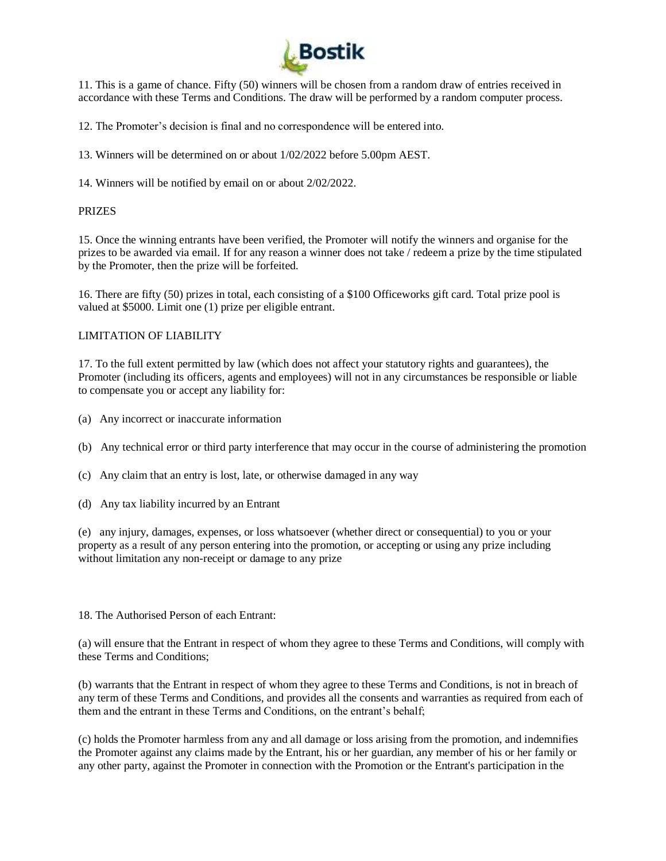

11. This is a game of chance. Fifty (50) winners will be chosen from a random draw of entries received in accordance with these Terms and Conditions. The draw will be performed by a random computer process.

12. The Promoter's decision is final and no correspondence will be entered into.

13. Winners will be determined on or about 1/02/2022 before 5.00pm AEST.

14. Winners will be notified by email on or about 2/02/2022.

### PRIZES

15. Once the winning entrants have been verified, the Promoter will notify the winners and organise for the prizes to be awarded via email. If for any reason a winner does not take / redeem a prize by the time stipulated by the Promoter, then the prize will be forfeited.

16. There are fifty (50) prizes in total, each consisting of a \$100 Officeworks gift card. Total prize pool is valued at \$5000. Limit one (1) prize per eligible entrant.

# LIMITATION OF LIABILITY

17. To the full extent permitted by law (which does not affect your statutory rights and guarantees), the Promoter (including its officers, agents and employees) will not in any circumstances be responsible or liable to compensate you or accept any liability for:

- (a) Any incorrect or inaccurate information
- (b) Any technical error or third party interference that may occur in the course of administering the promotion
- (c) Any claim that an entry is lost, late, or otherwise damaged in any way
- (d) Any tax liability incurred by an Entrant

(e) any injury, damages, expenses, or loss whatsoever (whether direct or consequential) to you or your property as a result of any person entering into the promotion, or accepting or using any prize including without limitation any non-receipt or damage to any prize

### 18. The Authorised Person of each Entrant:

(a) will ensure that the Entrant in respect of whom they agree to these Terms and Conditions, will comply with these Terms and Conditions;

(b) warrants that the Entrant in respect of whom they agree to these Terms and Conditions, is not in breach of any term of these Terms and Conditions, and provides all the consents and warranties as required from each of them and the entrant in these Terms and Conditions, on the entrant's behalf;

(c) holds the Promoter harmless from any and all damage or loss arising from the promotion, and indemnifies the Promoter against any claims made by the Entrant, his or her guardian, any member of his or her family or any other party, against the Promoter in connection with the Promotion or the Entrant's participation in the